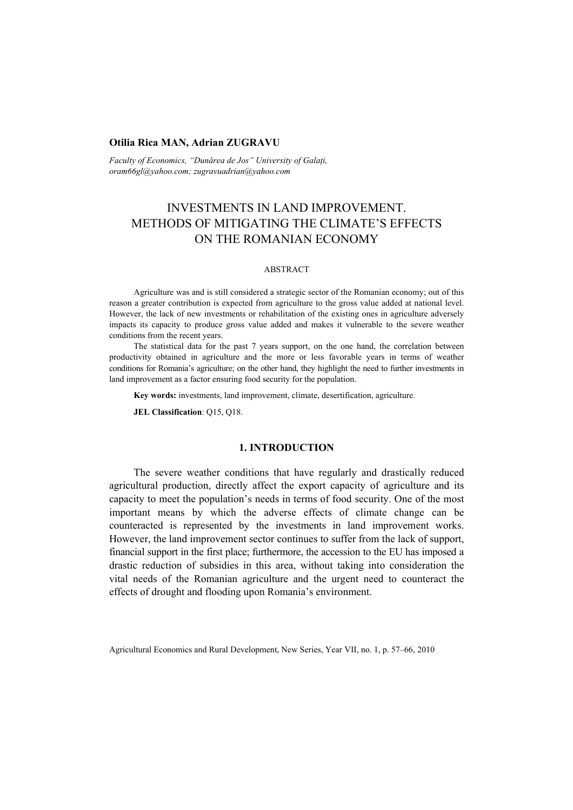#### **Otilia Rica MAN, Adrian ZUGRAVU**

*Faculty of Economics, "Dunărea de Jos" University of Galaţi, oram66gl@yahoo.com; zugravuadrian@yahoo.com* 

# INVESTMENTS IN LAND IMPROVEMENT. METHODS OF MITIGATING THE CLIMATE'S EFFECTS ON THE ROMANIAN ECONOMY

#### ABSTRACT

Agriculture was and is still considered a strategic sector of the Romanian economy; out of this reason a greater contribution is expected from agriculture to the gross value added at national level. However, the lack of new investments or rehabilitation of the existing ones in agriculture adversely impacts its capacity to produce gross value added and makes it vulnerable to the severe weather conditions from the recent years.

The statistical data for the past 7 years support, on the one hand, the correlation between productivity obtained in agriculture and the more or less favorable years in terms of weather conditions for Romania's agriculture; on the other hand, they highlight the need to further investments in land improvement as a factor ensuring food security for the population.

**Key words:** investments, land improvement, climate, desertification, agriculture.

**JEL Classification**: Q15, Q18.

### **1. INTRODUCTION**

The severe weather conditions that have regularly and drastically reduced agricultural production, directly affect the export capacity of agriculture and its capacity to meet the population's needs in terms of food security. One of the most important means by which the adverse effects of climate change can be counteracted is represented by the investments in land improvement works. However, the land improvement sector continues to suffer from the lack of support, financial support in the first place; furthermore, the accession to the EU has imposed a drastic reduction of subsidies in this area, without taking into consideration the vital needs of the Romanian agriculture and the urgent need to counteract the effects of drought and flooding upon Romania's environment.

Agricultural Economics and Rural Development, New Series, Year VII, no. 1, p. 57–66, 2010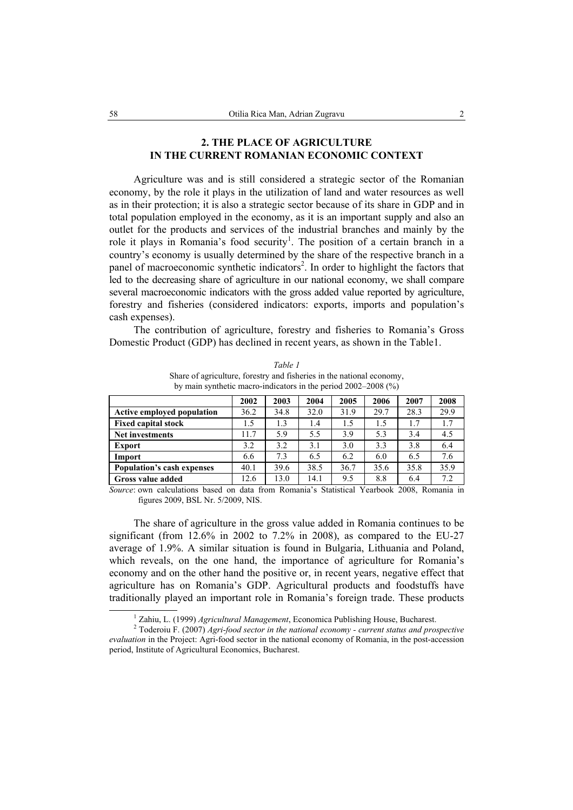## **2. THE PLACE OF AGRICULTURE IN THE CURRENT ROMANIAN ECONOMIC CONTEXT**

Agriculture was and is still considered a strategic sector of the Romanian economy, by the role it plays in the utilization of land and water resources as well as in their protection; it is also a strategic sector because of its share in GDP and in total population employed in the economy, as it is an important supply and also an outlet for the products and services of the industrial branches and mainly by the role it plays in Romania's food security<sup>1</sup>. The position of a certain branch in a country's economy is usually determined by the share of the respective branch in a panel of macroeconomic synthetic indicators<sup>2</sup>. In order to highlight the factors that led to the decreasing share of agriculture in our national economy, we shall compare several macroeconomic indicators with the gross added value reported by agriculture, forestry and fisheries (considered indicators: exports, imports and population's cash expenses).

The contribution of agriculture, forestry and fisheries to Romania's Gross Domestic Product (GDP) has declined in recent years, as shown in the Table1.

|                                   | 2002 | 2003 | 2004 | 2005 | 2006 | 2007 | 2008 |
|-----------------------------------|------|------|------|------|------|------|------|
| <b>Active employed population</b> | 36.2 | 34.8 | 32.0 | 31.9 | 29.7 | 28.3 | 29.9 |
| <b>Fixed capital stock</b>        | 1.5  | 1.3  | 1.4  | 1.5  | 1.5  | 1.7  | 1.7  |
| <b>Net investments</b>            | 11.7 | 5.9  | 5.5  | 3.9  | 5.3  | 3.4  | 4.5  |
| <b>Export</b>                     | 3.2  | 3.2  | 3.1  | 3.0  | 3.3  | 3.8  | 6.4  |
| Import                            | 6.6  | 7.3  | 6.5  | 6.2  | 6.0  | 6.5  | 7.6  |
| Population's cash expenses        | 40.1 | 39.6 | 38.5 | 36.7 | 35.6 | 35.8 | 35.9 |
| Gross value added                 | 12.6 | 13.0 | 14.1 | 9.5  | 8.8  | 6.4  | 7.2  |

*Table 1*  Share of agriculture, forestry and fisheries in the national economy, by main synthetic macro-indicators in the period 2002–2008 (%)

*Source*: own calculations based on data from Romania's Statistical Yearbook 2008, Romania in figures 2009, BSL Nr. 5/2009, NIS.

The share of agriculture in the gross value added in Romania continues to be significant (from 12.6% in 2002 to 7.2% in 2008), as compared to the EU-27 average of 1.9%. A similar situation is found in Bulgaria, Lithuania and Poland, which reveals, on the one hand, the importance of agriculture for Romania's economy and on the other hand the positive or, in recent years, negative effect that agriculture has on Romania's GDP. Agricultural products and foodstuffs have traditionally played an important role in Romania's foreign trade. These products

 $\overline{1}$ <sup>1</sup> Zahiu, L. (1999) *Agricultural Management*, Economica Publishing House, Bucharest.

Toderoiu F. (2007) *Agri-food sector in the national economy - current status and prospective evaluation* in the Project: Agri-food sector in the national economy of Romania, in the post-accession period, Institute of Agricultural Economics, Bucharest.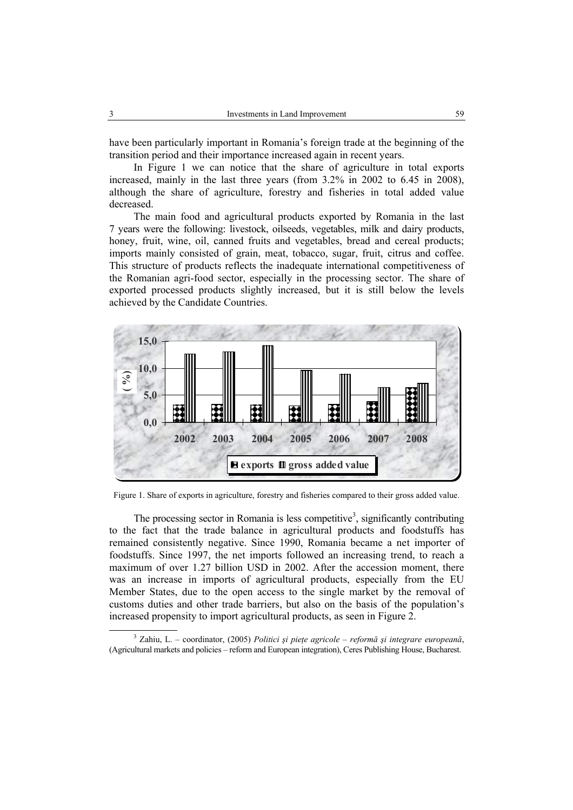have been particularly important in Romania's foreign trade at the beginning of the transition period and their importance increased again in recent years.

In Figure 1 we can notice that the share of agriculture in total exports increased, mainly in the last three years (from 3.2% in 2002 to 6.45 in 2008), although the share of agriculture, forestry and fisheries in total added value decreased.

The main food and agricultural products exported by Romania in the last 7 years were the following: livestock, oilseeds, vegetables, milk and dairy products, honey, fruit, wine, oil, canned fruits and vegetables, bread and cereal products; imports mainly consisted of grain, meat, tobacco, sugar, fruit, citrus and coffee. This structure of products reflects the inadequate international competitiveness of the Romanian agri-food sector, especially in the processing sector. The share of exported processed products slightly increased, but it is still below the levels achieved by the Candidate Countries.



Figure 1. Share of exports in agriculture, forestry and fisheries compared to their gross added value.

The processing sector in Romania is less competitive<sup>3</sup>, significantly contributing to the fact that the trade balance in agricultural products and foodstuffs has remained consistently negative. Since 1990, Romania became a net importer of foodstuffs. Since 1997, the net imports followed an increasing trend, to reach a maximum of over 1.27 billion USD in 2002. After the accession moment, there was an increase in imports of agricultural products, especially from the EU Member States, due to the open access to the single market by the removal of customs duties and other trade barriers, but also on the basis of the population's increased propensity to import agricultural products, as seen in Figure  $2$ .

 $\overline{\phantom{a}}$  Zahiu, L. – coordinator, (2005) *Politici şi pieţe agricole – reformă şi integrare europeană*, (Agricultural markets and policies – reform and European integration), Ceres Publishing House, Bucharest.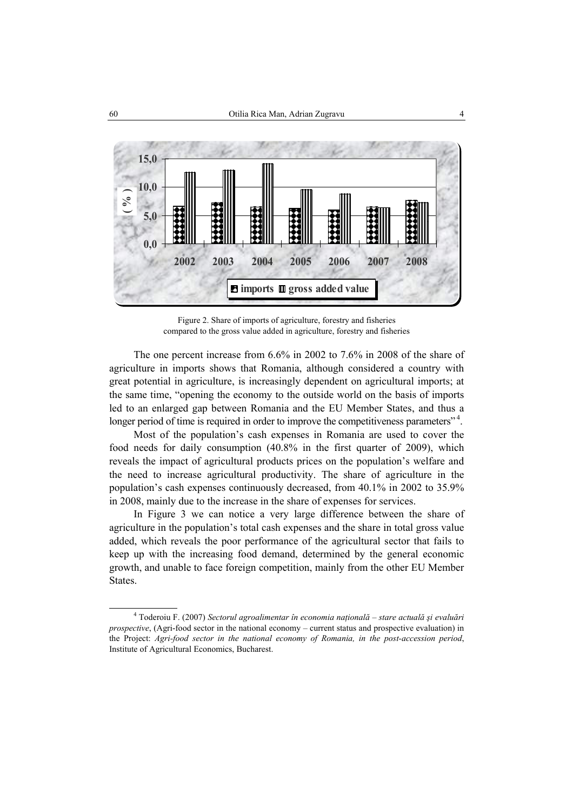

Figure 2. Share of imports of agriculture, forestry and fisheries compared to the gross value added in agriculture, forestry and fisheries

The one percent increase from 6.6% in 2002 to 7.6% in 2008 of the share of agriculture in imports shows that Romania, although considered a country with great potential in agriculture, is increasingly dependent on agricultural imports; at the same time, "opening the economy to the outside world on the basis of imports led to an enlarged gap between Romania and the EU Member States, and thus a longer period of time is required in order to improve the competitiveness parameters"<sup>4</sup>.

Most of the population's cash expenses in Romania are used to cover the food needs for daily consumption (40.8% in the first quarter of 2009), which reveals the impact of agricultural products prices on the population's welfare and the need to increase agricultural productivity. The share of agriculture in the population's cash expenses continuously decreased, from 40.1% in 2002 to 35.9% in 2008, mainly due to the increase in the share of expenses for services.

In Figure 3 we can notice a very large difference between the share of agriculture in the population's total cash expenses and the share in total gross value added, which reveals the poor performance of the agricultural sector that fails to keep up with the increasing food demand, determined by the general economic growth, and unable to face foreign competition, mainly from the other EU Member States.

 <sup>4</sup> Toderoiu F. (2007) *Sectorul agroalimentar în economia naţională – stare actuală şi evaluări prospective*, (Agri-food sector in the national economy – current status and prospective evaluation) in the Project: *Agri-food sector in the national economy of Romania, in the post-accession period*, Institute of Agricultural Economics, Bucharest.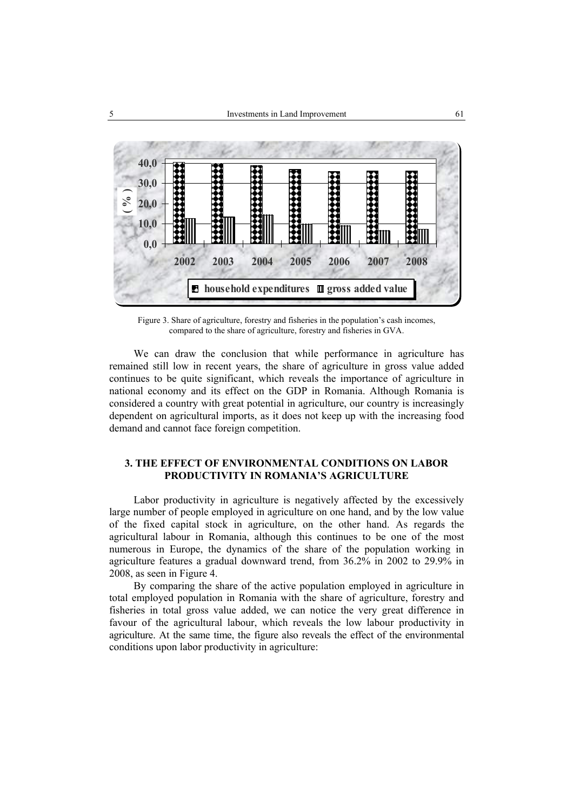

Figure 3. Share of agriculture, forestry and fisheries in the population's cash incomes, compared to the share of agriculture, forestry and fisheries in GVA.

We can draw the conclusion that while performance in agriculture has remained still low in recent years, the share of agriculture in gross value added continues to be quite significant, which reveals the importance of agriculture in national economy and its effect on the GDP in Romania. Although Romania is considered a country with great potential in agriculture, our country is increasingly dependent on agricultural imports, as it does not keep up with the increasing food demand and cannot face foreign competition.

### **3. THE EFFECT OF ENVIRONMENTAL CONDITIONS ON LABOR PRODUCTIVITY IN ROMANIA'S AGRICULTURE**

Labor productivity in agriculture is negatively affected by the excessively large number of people employed in agriculture on one hand, and by the low value of the fixed capital stock in agriculture, on the other hand. As regards the agricultural labour in Romania, although this continues to be one of the most numerous in Europe, the dynamics of the share of the population working in agriculture features a gradual downward trend, from 36.2% in 2002 to 29.9% in 2008, as seen in Figure 4.

By comparing the share of the active population employed in agriculture in total employed population in Romania with the share of agriculture, forestry and fisheries in total gross value added, we can notice the very great difference in favour of the agricultural labour, which reveals the low labour productivity in agriculture. At the same time, the figure also reveals the effect of the environmental conditions upon labor productivity in agriculture: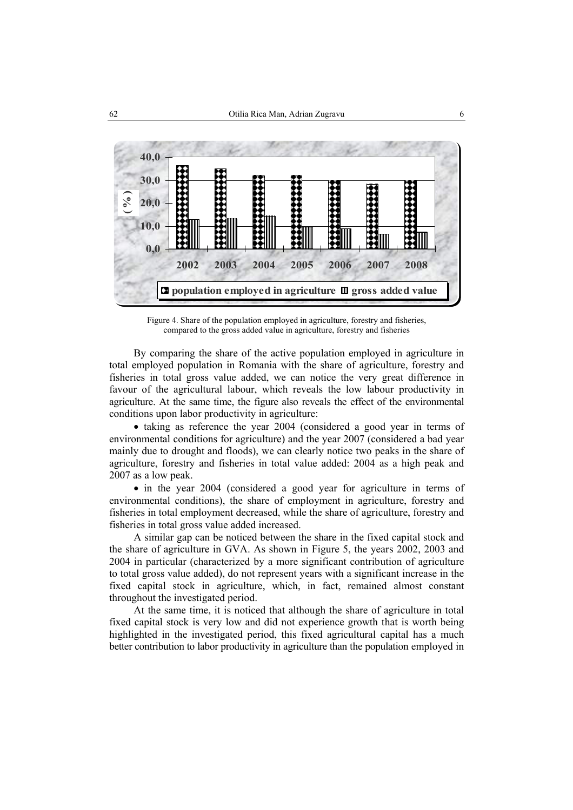

Figure 4. Share of the population employed in agriculture, forestry and fisheries, compared to the gross added value in agriculture, forestry and fisheries

By comparing the share of the active population employed in agriculture in total employed population in Romania with the share of agriculture, forestry and fisheries in total gross value added, we can notice the very great difference in favour of the agricultural labour, which reveals the low labour productivity in agriculture. At the same time, the figure also reveals the effect of the environmental conditions upon labor productivity in agriculture:

• taking as reference the year 2004 (considered a good year in terms of environmental conditions for agriculture) and the year 2007 (considered a bad year mainly due to drought and floods), we can clearly notice two peaks in the share of agriculture, forestry and fisheries in total value added: 2004 as a high peak and 2007 as a low peak.

• in the year 2004 (considered a good year for agriculture in terms of environmental conditions), the share of employment in agriculture, forestry and fisheries in total employment decreased, while the share of agriculture, forestry and fisheries in total gross value added increased.

A similar gap can be noticed between the share in the fixed capital stock and the share of agriculture in GVA. As shown in Figure 5, the years 2002, 2003 and 2004 in particular (characterized by a more significant contribution of agriculture to total gross value added), do not represent years with a significant increase in the fixed capital stock in agriculture, which, in fact, remained almost constant throughout the investigated period.

At the same time, it is noticed that although the share of agriculture in total fixed capital stock is very low and did not experience growth that is worth being highlighted in the investigated period, this fixed agricultural capital has a much better contribution to labor productivity in agriculture than the population employed in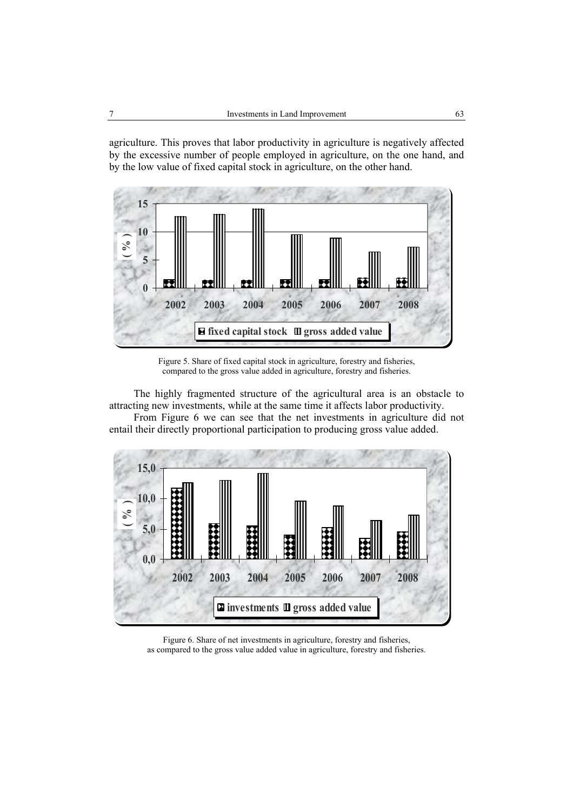agriculture. This proves that labor productivity in agriculture is negatively affected by the excessive number of people employed in agriculture, on the one hand, and by the low value of fixed capital stock in agriculture, on the other hand.



Figure 5. Share of fixed capital stock in agriculture, forestry and fisheries, compared to the gross value added in agriculture, forestry and fisheries.

The highly fragmented structure of the agricultural area is an obstacle to attracting new investments, while at the same time it affects labor productivity.

From Figure 6 we can see that the net investments in agriculture did not entail their directly proportional participation to producing gross value added.



Figure 6. Share of net investments in agriculture, forestry and fisheries, as compared to the gross value added value in agriculture, forestry and fisheries.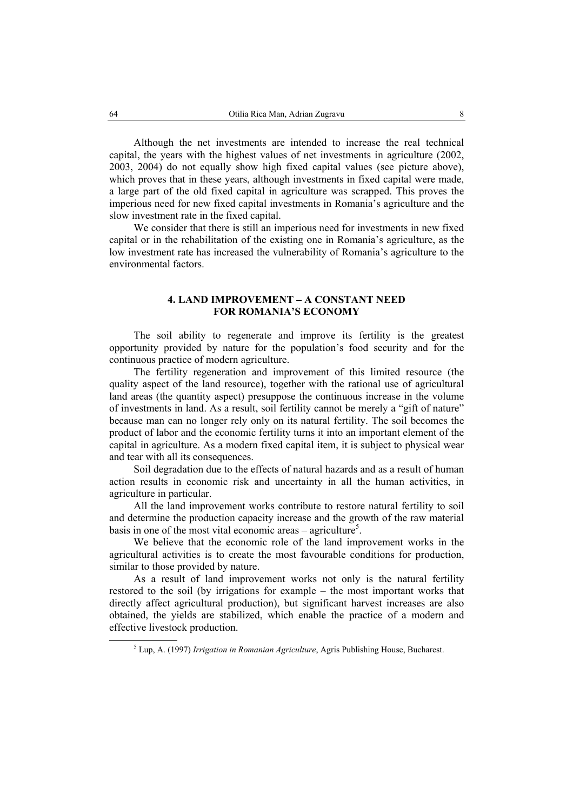Although the net investments are intended to increase the real technical capital, the years with the highest values of net investments in agriculture (2002, 2003, 2004) do not equally show high fixed capital values (see picture above), which proves that in these years, although investments in fixed capital were made, a large part of the old fixed capital in agriculture was scrapped. This proves the imperious need for new fixed capital investments in Romania's agriculture and the slow investment rate in the fixed capital.

We consider that there is still an imperious need for investments in new fixed capital or in the rehabilitation of the existing one in Romania's agriculture, as the low investment rate has increased the vulnerability of Romania's agriculture to the environmental factors.

## **4. LAND IMPROVEMENT – A CONSTANT NEED FOR ROMANIA'S ECONOMY**

The soil ability to regenerate and improve its fertility is the greatest opportunity provided by nature for the population's food security and for the continuous practice of modern agriculture.

The fertility regeneration and improvement of this limited resource (the quality aspect of the land resource), together with the rational use of agricultural land areas (the quantity aspect) presuppose the continuous increase in the volume of investments in land. As a result, soil fertility cannot be merely a "gift of nature" because man can no longer rely only on its natural fertility. The soil becomes the product of labor and the economic fertility turns it into an important element of the capital in agriculture. As a modern fixed capital item, it is subject to physical wear and tear with all its consequences.

Soil degradation due to the effects of natural hazards and as a result of human action results in economic risk and uncertainty in all the human activities, in agriculture in particular.

All the land improvement works contribute to restore natural fertility to soil and determine the production capacity increase and the growth of the raw material basis in one of the most vital economic areas – agriculture<sup>5</sup>.

We believe that the economic role of the land improvement works in the agricultural activities is to create the most favourable conditions for production, similar to those provided by nature.

As a result of land improvement works not only is the natural fertility restored to the soil (by irrigations for example – the most important works that directly affect agricultural production), but significant harvest increases are also obtained, the yields are stabilized, which enable the practice of a modern and effective livestock production.

 $rac{1}{5}$ Lup, A. (1997) *Irrigation in Romanian Agriculture*, Agris Publishing House, Bucharest.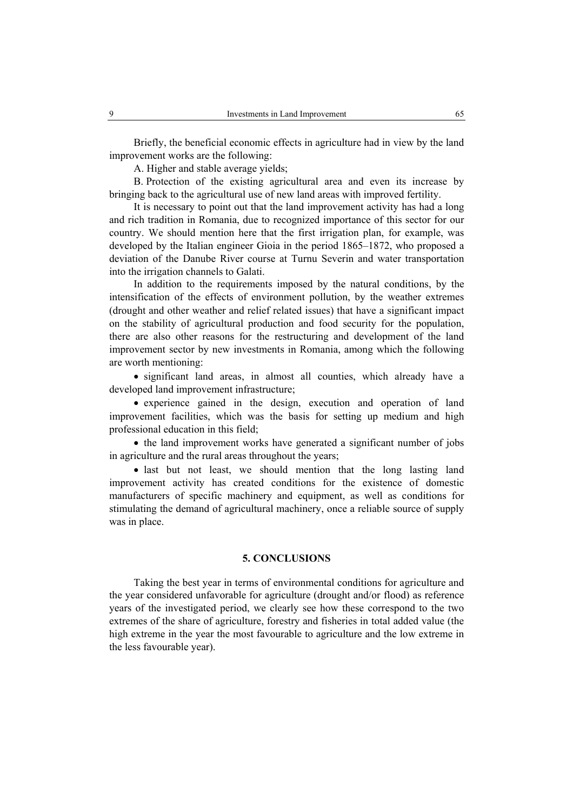Briefly, the beneficial economic effects in agriculture had in view by the land improvement works are the following:

A. Higher and stable average yields;

B. Protection of the existing agricultural area and even its increase by bringing back to the agricultural use of new land areas with improved fertility.

It is necessary to point out that the land improvement activity has had a long and rich tradition in Romania, due to recognized importance of this sector for our country. We should mention here that the first irrigation plan, for example, was developed by the Italian engineer Gioia in the period 1865–1872, who proposed a deviation of the Danube River course at Turnu Severin and water transportation into the irrigation channels to Galati.

In addition to the requirements imposed by the natural conditions, by the intensification of the effects of environment pollution, by the weather extremes (drought and other weather and relief related issues) that have a significant impact on the stability of agricultural production and food security for the population, there are also other reasons for the restructuring and development of the land improvement sector by new investments in Romania, among which the following are worth mentioning:

• significant land areas, in almost all counties, which already have a developed land improvement infrastructure;

• experience gained in the design, execution and operation of land improvement facilities, which was the basis for setting up medium and high professional education in this field;

• the land improvement works have generated a significant number of jobs in agriculture and the rural areas throughout the years;

• last but not least, we should mention that the long lasting land improvement activity has created conditions for the existence of domestic manufacturers of specific machinery and equipment, as well as conditions for stimulating the demand of agricultural machinery, once a reliable source of supply was in place.

#### **5. CONCLUSIONS**

Taking the best year in terms of environmental conditions for agriculture and the year considered unfavorable for agriculture (drought and/or flood) as reference years of the investigated period, we clearly see how these correspond to the two extremes of the share of agriculture, forestry and fisheries in total added value (the high extreme in the year the most favourable to agriculture and the low extreme in the less favourable year).